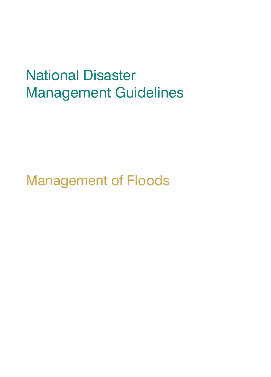# National Disaster Management Guidelines

Management of Floods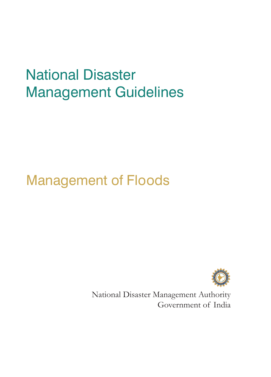# National Disaster Management Guidelines

## Management of Floods



National Disaster Management Authority Government of India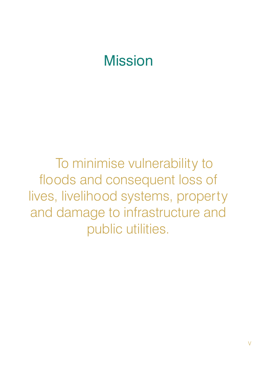## **Mission**

To minimise vulnerability to floods and consequent loss of lives, livelihood systems, property and damage to infrastructure and public utilities.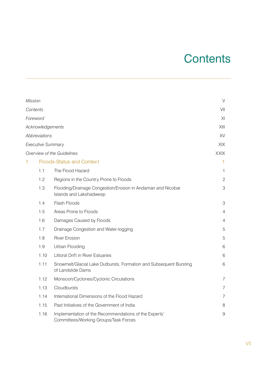## **Contents**

| Mission |                      |                                                                                                | $\vee$                    |
|---------|----------------------|------------------------------------------------------------------------------------------------|---------------------------|
|         | Contents             |                                                                                                | VII                       |
|         | Foreword             |                                                                                                | XI                        |
|         | Acknowledgements     |                                                                                                | XIII                      |
|         | <b>Abbreviations</b> |                                                                                                | XV                        |
|         | Executive Summary    |                                                                                                | XIX                       |
|         |                      | Overview of the Guidelines                                                                     | XXIX                      |
| 1       |                      | <b>Floods-Status and Context</b>                                                               | 1                         |
|         | 1.1                  | The Flood Hazard                                                                               | 1                         |
|         | 1.2                  | Regions in the Country Prone to Floods                                                         | $\overline{c}$            |
|         | 1.3                  | Flooding/Drainage Congestion/Erosion in Andaman and Nicobar<br>Islands and Lakshadweep         | $\ensuremath{\mathsf{3}}$ |
|         | 1.4                  | <b>Flash Floods</b>                                                                            | 3                         |
|         | 1.5                  | Areas Prone to Floods                                                                          | 4                         |
|         | 1.6                  | Damages Caused by Floods                                                                       | 4                         |
|         | 1.7                  | Drainage Congestion and Water-logging                                                          | 5                         |
|         | 1.8                  | <b>River Erosion</b>                                                                           | 5                         |
|         | 1.9                  | Urban Flooding                                                                                 | 6                         |
|         | 1.10                 | <b>Littoral Drift in River Estuaries</b>                                                       | 6                         |
|         | 1.11                 | Snowmelt/Glacial Lake Outbursts, Formation and Subsequent Bursting<br>of Landslide Dams        | 6                         |
|         | 1.12                 | Monsoon/Cyclones/Cyclonic Circulations                                                         | 7                         |
|         | 1.13                 | Cloudbursts                                                                                    | 7                         |
|         | 1.14                 | International Dimensions of the Flood Hazard                                                   | 7                         |
|         | 1.15                 | Past Initiatives of the Government of India                                                    | 8                         |
|         | 1.16                 | Implementation of the Recommendations of the Experts'<br>Committees/Working Groups/Task Forces | 9                         |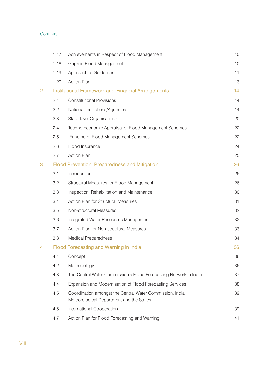#### $\sum_{i=1}^N\sum_{j=1}^{N}$  Disaster Management Of Floods and Of Floods of Floods and Of Floods and Of Floods and Of Floods and Of Floods and Of Floods and Of Floods and Of Floods and Of Floods and Of Floods and Of Floods and Of

|                | 1.17 | Achievements in Respect of Flood Management                                                          | 10 |
|----------------|------|------------------------------------------------------------------------------------------------------|----|
|                | 1.18 | Gaps in Flood Management                                                                             | 10 |
|                | 1.19 | Approach to Guidelines                                                                               | 11 |
|                | 1.20 | <b>Action Plan</b>                                                                                   | 13 |
| $\overline{2}$ |      | <b>Institutional Framework and Financial Arrangements</b>                                            | 14 |
|                | 2.1  | <b>Constitutional Provisions</b>                                                                     | 14 |
|                | 2.2  | National Institutions/Agencies                                                                       | 14 |
|                | 2.3  | State-level Organisations                                                                            | 20 |
|                | 2.4  | Techno-economic Appraisal of Flood Management Schemes                                                | 22 |
|                | 2.5  | Funding of Flood Management Schemes                                                                  | 22 |
|                | 2.6  | Flood Insurance                                                                                      | 24 |
|                | 2.7  | <b>Action Plan</b>                                                                                   | 25 |
| 3              |      | <b>Flood Prevention, Preparedness and Mitigation</b>                                                 | 26 |
|                | 3.1  | Introduction                                                                                         | 26 |
|                | 3.2  | Structural Measures for Flood Management                                                             | 26 |
|                | 3.3  | Inspection, Rehabilitation and Maintenance                                                           | 30 |
|                | 3.4  | Action Plan for Structural Measures                                                                  | 31 |
|                | 3.5  | Non-structural Measures                                                                              | 32 |
|                | 3.6  | Integrated Water Resources Management                                                                | 32 |
|                | 3.7  | Action Plan for Non-structural Measures                                                              | 33 |
|                | 3.8  | <b>Medical Preparedness</b>                                                                          | 34 |
| 4              |      | Flood Forecasting and Warning in India                                                               | 36 |
|                | 4.1  | Concept                                                                                              | 36 |
|                | 4.2  | Methodology                                                                                          | 36 |
|                | 4.3  | The Central Water Commission's Flood Forecasting Network in India                                    | 37 |
|                | 4.4  | Expansion and Modernisation of Flood Forecasting Services                                            | 38 |
|                | 4.5  | Coordination amongst the Central Water Commission, India<br>Meteorological Department and the States | 39 |
|                | 4.6  | International Cooperation                                                                            | 39 |
|                | 4.7  | Action Plan for Flood Forecasting and Warning                                                        | 41 |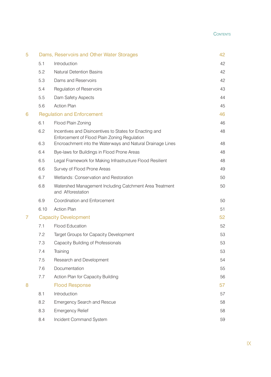#### **Summary Observation Points**

| 5 |                             | Dams, Reservoirs and Other Water Storages                                                               | 42 |
|---|-----------------------------|---------------------------------------------------------------------------------------------------------|----|
|   | 5.1                         | Introduction                                                                                            | 42 |
|   | 5.2                         | <b>Natural Detention Basins</b>                                                                         | 42 |
|   | 5.3                         | Dams and Reservoirs                                                                                     | 42 |
|   | 5.4                         | Regulation of Reservoirs                                                                                | 43 |
|   | 5.5                         | Dam Safety Aspects                                                                                      | 44 |
|   | 5.6                         | <b>Action Plan</b>                                                                                      | 45 |
| 6 |                             | <b>Regulation and Enforcement</b>                                                                       | 46 |
|   | 6.1                         | Flood Plain Zoning                                                                                      | 46 |
|   | 6.2                         | Incentives and Disincentives to States for Enacting and<br>Enforcement of Flood Plain Zoning Regulation | 48 |
|   | 6.3                         | Encroachment into the Waterways and Natural Drainage Lines                                              | 48 |
|   | 6.4                         | Bye-laws for Buildings in Flood Prone Areas                                                             | 48 |
|   | 6.5                         | Legal Framework for Making Infrastructure Flood Resilient                                               | 48 |
|   | 6.6                         | Survey of Flood Prone Areas                                                                             | 49 |
|   | 6.7                         | Wetlands: Conservation and Restoration                                                                  | 50 |
|   | 6.8                         | Watershed Management Including Catchment Area Treatment<br>and Afforestation                            | 50 |
|   | 6.9                         | <b>Coordination and Enforcement</b>                                                                     | 50 |
|   | 6.10                        | <b>Action Plan</b>                                                                                      | 51 |
| 7 | <b>Capacity Development</b> |                                                                                                         | 52 |
|   | 7.1                         | <b>Flood Education</b>                                                                                  | 52 |
|   | 7.2                         | Target Groups for Capacity Development                                                                  | 53 |
|   | 7.3                         | Capacity Building of Professionals                                                                      | 53 |
|   | 7.4                         | Training                                                                                                | 53 |
|   | 7.5                         | Research and Development                                                                                | 54 |
|   | 7.6                         | Documentation                                                                                           | 55 |
|   | 7.7                         | Action Plan for Capacity Building                                                                       | 56 |
| 8 |                             | <b>Flood Response</b>                                                                                   | 57 |
|   | 8.1                         | Introduction                                                                                            | 57 |
|   | 8.2                         | <b>Emergency Search and Rescue</b>                                                                      | 58 |
|   | 8.3                         | <b>Emergency Relief</b>                                                                                 | 58 |
|   | 8.4                         | Incident Command System                                                                                 | 59 |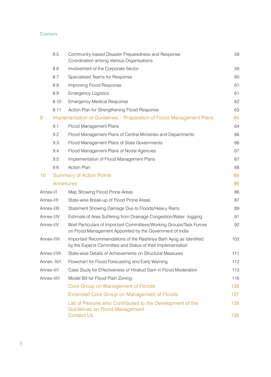#### $\sum_{i=1}^N\sum_{j=1}^{N}$  Disaster Management Of Floods and Of Floods of Floods and Of Floods and Of Floods and Of Floods and Of Floods and Of Floods and Of Floods and Of Floods and Of Floods and Of Floods and Of Floods and Of

|             | 8.5                                                                         | Community-based Disaster Preparedness and Response<br>Coordination among Various Organisations                                    | 59         |
|-------------|-----------------------------------------------------------------------------|-----------------------------------------------------------------------------------------------------------------------------------|------------|
|             | 8.6                                                                         | Involvement of the Corporate Sector                                                                                               | 59         |
|             | 8.7                                                                         | Specialised Teams for Response                                                                                                    | 60         |
|             | 8.8                                                                         | Improving Flood Response                                                                                                          | 61         |
|             | 8.9                                                                         | <b>Emergency Logistics</b>                                                                                                        | 61         |
|             | 8.10                                                                        | <b>Emergency Medical Response</b>                                                                                                 | 62         |
|             | 8.11                                                                        | Action Plan for Strengthening Flood Response                                                                                      | 63         |
| 9           | <b>Implementation of Guidelines – Preparation of Flood Management Plans</b> |                                                                                                                                   | 64         |
|             | 9.1                                                                         | <b>Flood Management Plans</b>                                                                                                     | 64         |
|             | 9.2                                                                         | Flood Management Plans of Central Ministries and Departments                                                                      | 66         |
|             | 9.3                                                                         | Flood Management Plans of State Governments                                                                                       | 66         |
|             | 9.4                                                                         | Flood Management Plans of Nodal Agencies                                                                                          | 67         |
|             | 9.5                                                                         | Implementation of Flood Management Plans                                                                                          | 67         |
|             | 9.6                                                                         | <b>Action Plan</b>                                                                                                                | 68         |
| 10          |                                                                             | <b>Summary of Action Points</b>                                                                                                   | 69         |
|             | <b>Annexures</b>                                                            |                                                                                                                                   | 86         |
| Annex-I/I   |                                                                             | Map Showing Flood Prone Areas                                                                                                     | 86         |
| Annex-I/II  |                                                                             | State-wise Break-up of Flood Prone Areas                                                                                          | 87         |
|             | Annex-I/III                                                                 | Statement Showing Damage Due to Floods/Heavy Rains                                                                                | 89         |
|             | Annex-I/IV                                                                  | Estimate of Area Suffering from Drainage Congestion/Water -logging                                                                | 91         |
| Annex-I/V   |                                                                             | Brief Particulars of Important Committees/Working Groups/Task Forces<br>on Flood Management Appointed by the Government of India  | 92         |
| Annex-I/VI  |                                                                             | Important Recommendations of the Rashtriya Barh Ayog as Identified<br>by the Experts Committee and Status of their Implementation | 103        |
|             | Annex-I/VII                                                                 | State-wise Details of Achievements on Structural Measures                                                                         | 111        |
| Annex- IV/I |                                                                             | Flowchart for Flood Forecasting and Early Warning                                                                                 | 112        |
| Annex-V/I   |                                                                             | Case Study for Effectiveness of Hirakud Dam in Flood Moderation                                                                   | 113        |
|             | Annex-VI/I                                                                  | Model Bill for Flood Plain Zoning                                                                                                 | 116        |
|             |                                                                             | Core Group on Management of Floods                                                                                                | 126        |
|             |                                                                             | <b>Extended Core Group on Management of Floods</b>                                                                                | 127        |
|             |                                                                             | List of Persons who Contributed to the Development of the<br><b>Guidelines on Flood Management</b><br><b>Contact Us</b>           | 129<br>135 |
|             |                                                                             |                                                                                                                                   |            |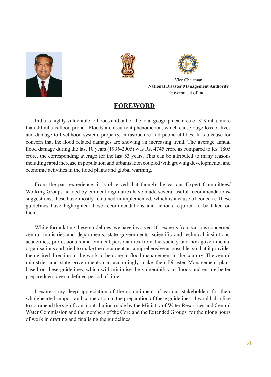





Vice Chairman **National Disaster Management Authority** Government of India

#### **Foreword**

India is highly vulnerable to floods and out of the total geographical area of 329 mha, more than 40 mha is flood prone. Floods are recurrent phenomenon, which cause huge loss of lives and damage to livelihood system, property, infrastructure and public utilities. It is a cause for concern that the flood related damages are showing an increasing trend. The average annual flood damage during the last 10 years (1996-2005) was Rs. 4745 crore as compared to Rs. 1805 crore, the corresponding average for the last 53 years. This can be attributed to many reasons including rapid increase in population and urbanisation coupled with growing developmental and economic activities in the flood plains and global warming.

From the past experience, it is observed that though the various Expert Committees/ Working Groups headed by eminent dignitaries have made several useful recommendations/ suggestions, these have mostly remained unimplemented, which is a cause of concern. These guidelines have highlighted those recommendations and actions required to be taken on them.

While formulating these guidelines, we have involved 161 experts from various concerned central ministries and departments, state governments, scientific and technical insitutions, academics, professionals and eminent personalities from the society and non-governmental organisations and tried to make the document as comprehensive as possible, so that it provides the desired direction in the work to be done in flood management in the country. The central ministries and state governments can accordingly make their Disaster Management plans based on these guidelines, which will minimise the vulnerability to floods and ensure better preparedness over a defined period of time.

I express my deep appreciation of the commitment of various stakeholders for their wholehearted support and cooperation in the preparation of these guidelines. I would also like to commend the significant contribution made by the Ministry of Water Resources and Central Water Commission and the members of the Core and the Extended Groups, for their long hours of work in drafting and finalising the guidelines.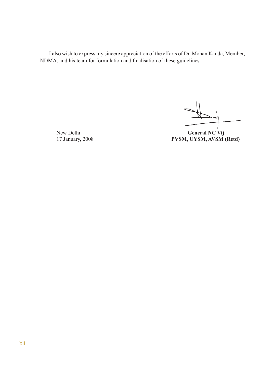I also wish to express my sincere appreciation of the efforts of Dr. Mohan Kanda, Member, NDMA, and his team for formulation and finalisation of these guidelines.

New Delhi **General NC Vij** 17 January, 2008 **PVSM, UYSM, AVSM (Retd)**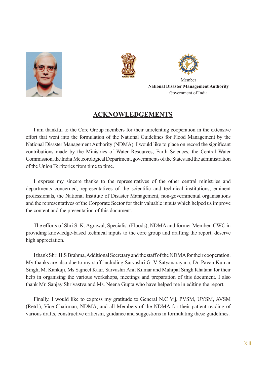





Member **National Disaster Management Authority** Government of India

#### **Acknowledgements**

I am thankful to the Core Group members for their unrelenting cooperation in the extensive effort that went into the formulation of the National Guidelines for Flood Management by the National Disaster Management Authority (NDMA). I would like to place on record the significant contributions made by the Ministries of Water Resources, Earth Sciences, the Central Water Commission, the India Meteorological Department, governments of the States and the administration of the Union Territories from time to time.

I express my sincere thanks to the representatives of the other central ministries and departments concerned, representatives of the scientific and technical institutions, eminent professionals, the National Institute of Disaster Management, non-governmental organisations and the representatives of the Corporate Sector for their valuable inputs which helped us improve the content and the presentation of this document.

The efforts of Shri S. K. Agrawal, Specialist (Floods), NDMA and former Member, CWC in providing knowledge-based technical inputs to the core group and drafting the report, deserve high appreciation.

I thank Shri H.S Brahma, Additional Secretary and the staff of the NDMA for their cooperation. My thanks are also due to my staff including Sarvashri G .V Satyanarayana, Dr. Pavan Kumar Singh, M. Kankaji, Ms Sajneet Kaur, Sarvashri Anil Kumar and Mahipal Singh Khatana for their help in organising the various workshops, meetings and preparation of this document. I also thank Mr. Sanjay Shrivastva and Ms. Neena Gupta who have helped me in editing the report.

Finally, I would like to express my gratitude to General N.C Vij, PVSM, UYSM, AVSM (Retd.), Vice Chairman, NDMA, and all Members of the NDMA for their patient reading of various drafts, constructive criticism, guidance and suggestions in formulating these guidelines.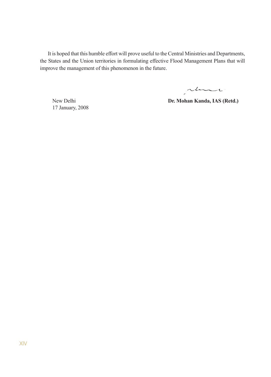It is hoped that this humble effort will prove useful to the Central Ministries and Departments, the States and the Union territories in formulating effective Flood Management Plans that will improve the management of this phenomenon in the future.

man

17 January, 2008

New Delhi **Dr. Mohan Kanda, IAS (Retd.)**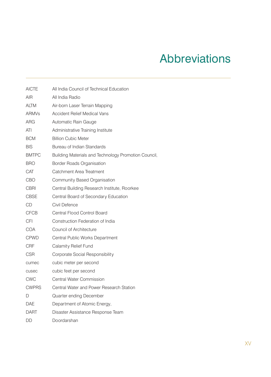## Abbreviations

| <b>AICTE</b> | All India Council of Technical Education             |
|--------------|------------------------------------------------------|
| AIR          | All India Radio                                      |
| <b>ALTM</b>  | Air-born Laser Terrain Mapping                       |
| <b>ARMVs</b> | <b>Accident Relief Medical Vans</b>                  |
| ARG          | Automatic Rain Gauge                                 |
| ATI          | Administrative Training Institute                    |
| <b>BCM</b>   | <b>Billion Cubic Meter</b>                           |
| BIS          | Bureau of Indian Standards                           |
| <b>BMTPC</b> | Building Materials and Technology Promotion Council, |
| <b>BRO</b>   | <b>Border Roads Organisation</b>                     |
| CAT          | Catchment Area Treatment                             |
| CBO          | Community Based Organisation                         |
| CBRI         | Central Building Research Institute, Roorkee         |
| <b>CBSE</b>  | Central Board of Secondary Education                 |
| CD           | Civil Defence                                        |
| <b>CFCB</b>  | Central Flood Control Board                          |
| <b>CFI</b>   | Construction Federation of India                     |
| COA          | <b>Council of Architecture</b>                       |
| <b>CPWD</b>  | Central Public Works Department                      |
| CRF          | Calamity Relief Fund                                 |
| <b>CSR</b>   | Corporate Social Responsibility                      |
| cumec        | cubic meter per second                               |
| cusec        | cubic feet per second                                |
| CWC          | Central Water Commission                             |
| <b>CWPRS</b> | Central Water and Power Research Station             |
| D            | Quarter ending December                              |
| <b>DAE</b>   | Department of Atomic Energy,                         |
| DART         | Disaster Assistance Response Team                    |
| DD           | Doordarshan                                          |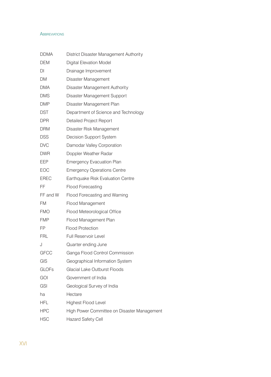#### Abbreviations and Disaster Management Of Floods of Floods and Of Floods of Floods and Of Floods and Of Floods o

| <b>DDMA</b>  | District Disaster Management Authority      |
|--------------|---------------------------------------------|
| <b>DEM</b>   | <b>Digital Elevation Model</b>              |
| DI           | Drainage Improvement                        |
| <b>DM</b>    | Disaster Management                         |
| <b>DMA</b>   | Disaster Management Authority               |
| <b>DMS</b>   | Disaster Management Support                 |
| <b>DMP</b>   | Disaster Management Plan                    |
| DST          | Department of Science and Technology        |
| <b>DPR</b>   | <b>Detailed Project Report</b>              |
| <b>DRM</b>   | Disaster Risk Management                    |
| <b>DSS</b>   | <b>Decision Support System</b>              |
| <b>DVC</b>   | Damodar Valley Corporation                  |
| <b>DWR</b>   | Doppler Weather Radar                       |
| EEP          | <b>Emergency Evacuation Plan</b>            |
| <b>EOC</b>   | <b>Emergency Operations Centre</b>          |
| <b>EREC</b>  | Earthquake Risk Evaluation Centre           |
| FF           | <b>Flood Forecasting</b>                    |
| FF and W     | Flood Forecasting and Warning               |
| FM           | Flood Management                            |
| <b>FMO</b>   | Flood Meteorological Office                 |
| <b>FMP</b>   | Flood Management Plan                       |
| FP           | <b>Flood Protection</b>                     |
| <b>FRL</b>   | Full Reservoir Level                        |
| J            | Quarter ending June                         |
| <b>GFCC</b>  | Ganga Flood Control Commission              |
| GIS          | Geographical Information System             |
| <b>GLOFs</b> | <b>Glacial Lake Outburst Floods</b>         |
| GOI          | Government of India                         |
| <b>GSI</b>   | Geological Survey of India                  |
| ha           | Hectare                                     |
| HFL          | <b>Highest Flood Level</b>                  |
| <b>HPC</b>   | High Power Committee on Disaster Management |
| <b>HSC</b>   | <b>Hazard Safety Cell</b>                   |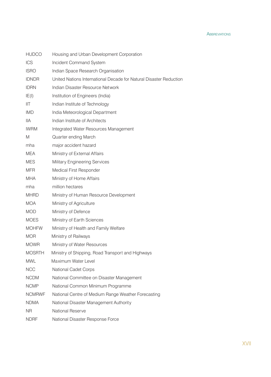ABBREVIATION

| <b>HUDCO</b>  | Housing and Urban Development Corporation                          |
|---------------|--------------------------------------------------------------------|
| ICS           | Incident Command System                                            |
| <b>ISRO</b>   | Indian Space Research Organisation                                 |
| <b>IDNDR</b>  | United Nations International Decade for Natural Disaster Reduction |
| <b>IDRN</b>   | Indian Disaster Resource Network                                   |
| IE(1)         | Institution of Engineers (India)                                   |
| IIТ           | Indian Institute of Technology                                     |
| <b>IMD</b>    | India Meteorological Department                                    |
| <b>IIA</b>    | Indian Institute of Architects                                     |
| <b>IWRM</b>   | Integrated Water Resources Management                              |
| M             | Quarter ending March                                               |
| mha           | major accident hazard                                              |
| <b>MEA</b>    | Ministry of External Affairs                                       |
| <b>MES</b>    | <b>Military Engineering Services</b>                               |
| <b>MFR</b>    | <b>Medical First Responder</b>                                     |
| <b>MHA</b>    | Ministry of Home Affairs                                           |
| mha           | million hectares                                                   |
| <b>MHRD</b>   | Ministry of Human Resource Development                             |
| <b>MOA</b>    | Ministry of Agriculture                                            |
| <b>MOD</b>    | Ministry of Defence                                                |
| <b>MOES</b>   | Ministry of Earth Sciences                                         |
| <b>MOHFW</b>  | Ministry of Health and Family Welfare                              |
| <b>MOR</b>    | Ministry of Railways                                               |
| <b>MOWR</b>   | Ministry of Water Resources                                        |
| <b>MOSRTH</b> | Ministry of Shipping, Road Transport and Highways                  |
| <b>MWL</b>    | Maximum Water Level                                                |
| <b>NCC</b>    | <b>National Cadet Corps</b>                                        |
| <b>NCDM</b>   | National Committee on Disaster Management                          |
| <b>NCMP</b>   | National Common Minimum Programme                                  |
| <b>NCMRWF</b> | National Centre of Medium Range Weather Forecasting                |
| <b>NDMA</b>   | National Disaster Management Authority                             |
| <b>NR</b>     | <b>National Reserve</b>                                            |
| <b>NDRF</b>   | National Disaster Response Force                                   |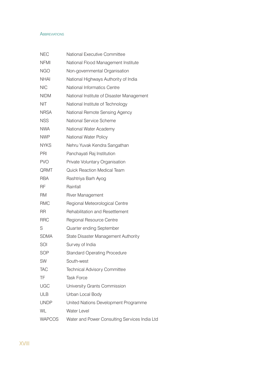#### Abbreviations and Disaster Management Of Floods of Floods and Of Floods of Floods and Of Floods and Of Floods o

| <b>NEC</b>    | National Executive Committee                  |
|---------------|-----------------------------------------------|
| <b>NFMI</b>   | National Flood Management Institute           |
| <b>NGO</b>    | Non-governmental Organisation                 |
| <b>NHAI</b>   | National Highways Authority of India          |
| <b>NIC</b>    | National Informatics Centre                   |
| <b>NIDM</b>   | National Institute of Disaster Management     |
| <b>NIT</b>    | National Institute of Technology              |
| <b>NRSA</b>   | National Remote Sensing Agency                |
| <b>NSS</b>    | <b>National Service Scheme</b>                |
| <b>NWA</b>    | National Water Academy                        |
| <b>NWP</b>    | National Water Policy                         |
| <b>NYKS</b>   | Nehru Yuvak Kendra Sangathan                  |
| PRI           | Panchayati Raj Institution                    |
| <b>PVO</b>    | Private Voluntary Organisation                |
| QRMT          | <b>Quick Reaction Medical Team</b>            |
| <b>RBA</b>    | Rashtriya Barh Ayog                           |
| <b>RF</b>     | Rainfall                                      |
| <b>RM</b>     | <b>River Management</b>                       |
| <b>RMC</b>    | Regional Meteorological Centre                |
| <b>RR</b>     | <b>Rehabilitation and Resettlement</b>        |
| <b>RRC</b>    | Regional Resource Centre                      |
| S             | Quarter ending September                      |
| <b>SDMA</b>   | State Disaster Management Authority           |
| SOI           | Survey of India                               |
| <b>SOP</b>    | <b>Standard Operating Procedure</b>           |
| SW            | South-west                                    |
| <b>TAC</b>    | <b>Technical Advisory Committee</b>           |
| TF            | <b>Task Force</b>                             |
| <b>UGC</b>    | University Grants Commission                  |
| <b>ULB</b>    | Urban Local Body                              |
| <b>UNDP</b>   | United Nations Development Programme          |
| WL            | Water Level                                   |
| <b>WAPCOS</b> | Water and Power Consulting Services India Ltd |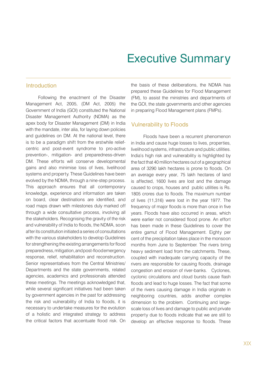### Executive Summary

#### **Introduction**

Following the enactment of the Disaster Management Act, 2005, (DM Act, 2005) the Government of India (GOI) constituted the National Disaster Management Authority (NDMA) as the apex body for Disaster Management (DM) in India with the mandate, inter alia, for laying down policies and guidelines on DM. At the national level, there is to be a paradigm shift from the erstwhile reliefcentric and post-event syndrome to pro-active prevention-, mitigation- and preparedness-driven DM. These efforts will conserve developmental gains and also minimise loss of lives, livelihood systems and property. These Guidelines have been evolved by the NDMA, through a nine-step process. This approach ensures that all contemporary knowledge, experience and information are taken on board, clear destinations are identified, and road maps drawn with milestones duly marked off through a wide consultative process, involving all the stakeholders. Recognising the gravity of the risk and vulnerability of India to floods, the NDMA, soon after its constitution initiated a series of consultations with the various stakeholders to develop Guidelines for strengthening the existing arrangements for flood preparedness, mitigation, and post-flood emergency response, relief, rehabilitation and reconstruction. Senior representatives from the Central Ministries/ Departments and the state governments, related agencies, academics and professionals attended these meetings. The meetings acknowledged that, while several significant initiatives had been taken by government agencies in the past for addressing the risk and vulnerability of India to floods, it is necessary to undertake measures for the evolution of a holistic and integrated strategy to address the critical factors that accentuate flood risk. On

the basis of these deliberations, the NDMA has prepared these Guidelines for Flood Management (FM), to assist the ministries and departments of the GOI, the state governments and other agencies in preparing Flood Management plans (FMPs).

#### Vulnerability to Floods

Floods have been a recurrent phenomenon in India and cause huge losses to lives, properties, livelihood systems, infrastructure and public utilities. India's high risk and vulnerability is highlighted by the fact that 40 million hectares out of a geographical area of 3290 lakh hectares is prone to floods. On an average every year, 75 lakh hectares of land is affected, 1600 lives are lost and the damage caused to crops, houses and public utilities is Rs. 1805 crores due to floods. The maximum number of lives (11,316) were lost in the year 1977. The frequency of major floods is more than once in five years. Floods have also occurred in areas, which were earlier not considered flood prone. An effort has been made in these Guidelines to cover the entire gamut of Flood Management. Eighty per cent of the precipitation takes place in the monsoon months from June to September. The rivers bring heavy sediment load from the catchments. These, coupled with inadequate carrying capacity of the rivers are responsible for causing floods, drainage congestion and erosion of river-banks. Cyclones, cyclonic circulations and cloud bursts cause flash floods and lead to huge losses. The fact that some of the rivers causing damage in India originate in neighboring countries, adds another complex dimension to the problem. Continuing and largescale loss of lives and damage to public and private property due to floods indicate that we are still to develop an effective response to floods. These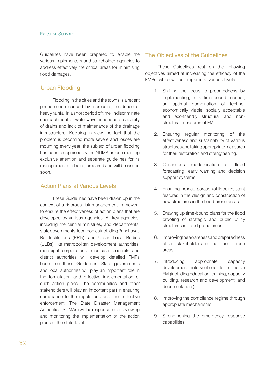Guidelines have been prepared to enable the various implementers and stakeholder agencies to address effectively the critical areas for minimising flood damages.

#### Urban Flooding

Flooding in the cities and the towns is a recent phenomenon caused by increasing incidence of heavy rainfall in a short period of time, indiscriminate encroachment of waterways, inadequate capacity of drains and lack of maintenance of the drainage infrastructure. Keeping in view the fact that the problem is becoming more severe and losses are mounting every year, the subject of urban flooding has been recognised by the NDMA as one meriting exclusive attention and separate guidelines for its management are being prepared and will be issued soon.

#### Action Plans at Various Levels

These Guidelines have been drawn up in the context of a rigorous risk management framework to ensure the effectiveness of action plans that are developed by various agencies. All key agencies, including the central ministries, and departments, state governments, local bodies including Panchayati Raj Institutions (PRIs), and Urban Local Bodies (ULBs) like metropolitan development authorities, municipal corporations, municipal councils and district authorities will develop detailed FMPs based on these Guidelines. State governments and local authorities will play an important role in the formulation and effective implementation of such action plans. The communities and other stakeholders will play an important part in ensuring compliance to the regulations and their effective enforcement. The State Disaster Management Authorities (SDMAs) will be responsible for reviewing and monitoring the implementation of the action plans at the state-level.

#### The Objectives of the Guidelines

These Guidelines rest on the following objectives aimed at increasing the efficacy of the FMPs, which will be prepared at various levels:

- 1. Shifting the focus to preparedness by implementing, in a time-bound manner, an optimal combination of technoeconomically viable, socially acceptable and eco-friendly structural and nonstructural measures of FM.
- 2. Ensuring regular monitoring of the effectiveness and sustainability of various structures and taking appropriate measures for their restoration and strengthening.
- 3. Continuous modernisation of flood forecasting, early warning and decision support systems.
- 4. Ensuring the incorporation of flood resistant features in the design and construction of new structures in the flood prone areas.
- 5. Drawing up time-bound plans for the flood proofing of strategic and public utility structures in flood prone areas.
- 6. Improving the awareness and preparedness of all stakeholders in the flood prone areas.
- 7. Introducing appropriate capacity development interventions for effective FM (including education, training, capacity building, research and development, and documentation.)
- 8. Improving the compliance regime through appropriate mechanisms.
- 9. Strengthening the emergency response capabilities.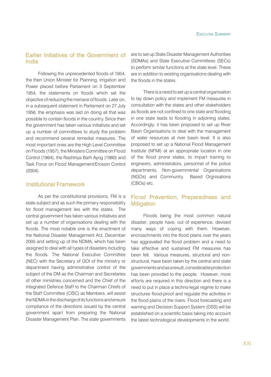#### Earlier Initiatives of the Government of India

Following the unprecedented floods of 1954, the then Union Minister for Planning, Irrigation and Power placed before Parliament on 3 September 1954, the statements on floods which set the objective of reducing the menace of floods. Later on, in a subsequent statement in Parliament on 27 July 1956, the emphasis was laid on doing all that was possible to contain floods in the country. Since then the government has taken various initiatives and set up a number of committees to study the problem and recommend several remedial measures. The most important ones are the High Level Committee on Floods (1957), the Ministers Committee on Flood Control (1964), the Rashtriya Barh Ayog (1980) and Task Force on Flood Management/Erosion Control (2004).

#### Institutional Framework

As per the constitutional provisions, FM is a state subject and as such the primary responsibility for flood management lies with the states. The central government has taken various initiatives and set up a number of organisations dealing with the floods. The most notable one is the enactment of the National Disaster Management Act, December 2005 and setting up of the NDMA, which has been assigned to deal with all types of disasters including the floods. The National Executive Committee (NEC) with the Secretary of GOI of the ministry or department having administrative control of the subject of the DM as the Chairman and Secretaries of other ministries concerned and the Chief of the Integrated Defence Staff to the Chairman Chiefs of the Staff Committee (CISC) as Members, will assist the NDMA in the discharge of its functions and ensure compliance of the directions issued by the central government apart from preparing the National Disaster Management Plan. The state governments

are to set up State Disaster Management Authorities (SDMAs) and State Executive Committees (SECs) to perform similar functions at the state level. These are in addition to existing organisations dealing with the floods in the states.

There is a need to set up a central organisation to lay down policy and implement FM measures in consultation with the states and other stakeholders as floods are not confined to one state and flooding in one state leads to flooding in adjoining states. Accordingly, it has been proposed to set up River Basin Organisations to deal with the management of water resources at river basin level. It is also proposed to set up a National Flood Management Institute (NFMI) at an appropriate location in one of the flood prone states, to impart training to engineers, administrators, personnel of the police departments, Non-governmental Organisations (NGOs) and Community Based Orgnisations (CBOs) etc.

#### Flood Prevention, Preparedness and **Mitigation**

Floods being the most common natural disaster, people have, out of experience, devised many ways of coping with them. However, encroachments into the flood plains over the years has aggravated the flood problem and a need to take effective and sustained FM measures has been felt. Various measures, structural and nonstructural, have been taken by the central and state governments and as a result, considerable protection has been provided to the people. However, more efforts are required in this direction and there is a need to put in place a techno-legal regime to make structures flood-proof and regulate the activities in the flood plains of the rivers. Flood forecasting and warning and Decision Support System (DSS) will be established on a scientific basis taking into account the latest technological developments in the world.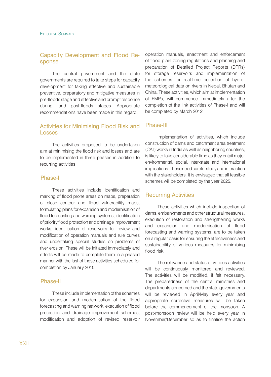#### Capacity Development and Flood Response

The central government and the state governments are required to take steps for capacity development for taking effective and sustainable preventive, preparatory and mitigative measures in pre-floods stage and effective and prompt response during- and post-floods stages. Appropriate recommendations have been made in this regard.

#### Activities for Minimising Flood Risk and Losses

The activities proposed to be undertaken aim at minimising the flood risk and losses and are to be implemented in three phases in addition to recurring activities.

#### Phase-I

These activities include identification and marking of flood prone areas on maps, preparation of close contour and flood vulnerability maps, formulating plans for expansion and modernisation of flood forecasting and warning systems, identification of priority flood protection and drainage improvement works, identification of reservoirs for review and modification of operation manuals and rule curves and undertaking special studies on problems of river erosion. These will be initiated immediately and efforts will be made to complete them in a phased manner with the last of these activities scheduled for completion by January 2010.

#### Phase-II

These include implementation of the schemes for expansion and modernisation of the flood forecasting and warning network, execution of flood protection and drainage improvement schemes, modification and adoption of revised reservoir operation manuals, enactment and enforcement of flood plain zoning regulations and planning and preparation of Detailed Project Reports (DPRs) for storage reservoirs and implementation of the schemes for real-time collection of hydrometeorological data on rivers in Nepal, Bhutan and China. These activities, which aim at implementation of FMPs, will commence immediately after the completion of the link activities of Phase-I and will be completed by March 2012.

#### Phase-III

Implementation of activities, which include construction of dams and catchment area treatment (CAT) works in India as well as neighboring countries, is likely to take considerable time as they entail major environmental, social, inter-state and international implications. These need careful study and interaction with the stakeholders. It is envisaged that all feasible schemes will be completed by the year 2025.

#### Recurring Activities

These activities which include inspection of dams, embankments and other structural measures, execution of restoration and strengthening works and expansion and modernisation of flood forecasting and warning systems, are to be taken on a regular basis for ensuring the effectiveness and sustainability of various measures for minimising flood risk.

The relevance and status of various activities will be continuously monitored and reviewed. The activities will be modified, if felt necessary. The preparedness of the central ministries and departments concerned and the state governments will be reviewed in April/May every year and appropriate corrective measures will be taken before the commencement of the monsoon. A post-monsoon review will be held every year in November/December so as to finalise the action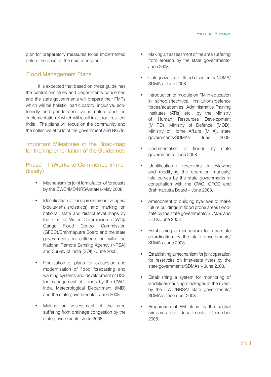plan for preparatory measures to be implemented before the onset of the next monsoon.

#### Flood Management Plans

It is expected that based on these guidelines the central ministries and departments concerned and the state governments will prepare their FMPs which will be holistic, participatory, inclusive, ecofriendly and gender-sensitive in nature and the implementation of which will result in a flood- resilient India. The plans will focus on the community and the collective efforts of the government and NGOs.

#### $I$ mportant Milestones in the Road-map<br>for the Implementation of the Cuidelines for the Implementation of the Guidelines

Phase – I (Works to Commence Immediately)

- Mechanism for joint formulation of forecasts by the CWC/IMD/NRSA/states-May 2008.
- Identification of flood prone areas (villages/ blocks/tehsils/districts) and marking on national, state and district level maps by the Central Water Commission (CWC)/ Ganga Flood Control Commission (GFCC)/Brahmaputra Board and the state governments in collaboration with the National Remote Sensing Agency (NRSA) and Survey of India (SOI) - June 2008.
- Finalisation of plans for expansion and modernisation of flood forecasting and warning systems and development of DSS for management of floods by the CWC, India Meteorological Department (IMD) and the state governments - June 2008.
- Making an assessment of the area suffering from drainage congestion by the state governments- June 2008.
- Making an assessment of the area suffering from erosion by the state governments-June 2008.
- Categorization of flood disaster by NDMA/ SDMAs- June 2008.
- Introduction of module on FM in education in schools/technical institutions/defence forces/academies, Administrative Training Institutes (ATIs) etc., by the Ministry of Human Resources Development (MHRD), Ministry of Defence (MOD), Ministry of Home Affairs (MHA), state governments/SDMAs- June 2008.
- Documentation of floods by state governments- June 2008.
- Identification of reservoirs for reviewing and modifying the operation manuals/ rule curves by the state governments in consultation with the CWC, GFCC and Brahmaputra Board – June 2008.
- Amendment of building bye-laws to make future buildings in flood prone areas floodsafe by the state governments/SDMAs and UI Bs-June 2008.
- Establishing a mechanism for intra-state coordination by the state governments/ SDMAs-June 2008.
- Establishing a mechanism for joint operation for reservoirs on inter-state rivers by the state governments/SDMAs – June 2008.
- Establishing a system for monitoring of landslides causing blockages in the rivers, by the CWC/NRSA/ state governments/ SDMAs-December 2008.
- Preparation of FM plans by the central ministries and departments- December 2008.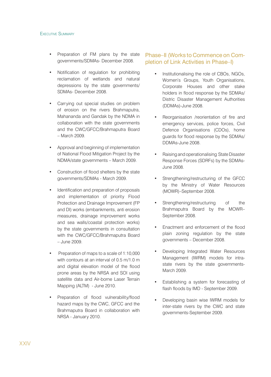- Preparation of FM plans by the state governments/SDMAs- December 2008.
- Notification of regulation for prohibiting reclamation of wetlands and natural depressions by the state governments/ SDMAs- December 2008.
- Carrying out special studies on problem of erosion on the rivers Brahmaputra, Mahananda and Gandak by the NDMA in collaboration with the state governments and the CWC/GFCC/Brahmaputra Board – March 2009.
- Approval and beginning of implementation of National Flood Mitigation Project by the NDMA/state governments – March 2009.
- Construction of flood shelters by the state governments/SDMAs - March 2009.
- Identification and preparation of proposals and implementation of priority Flood Protection and Drainage Improvement (FP and DI) works (embankments, anti erosion measures, drainage improvement works and sea walls/coastal protection works) by the state governments in consultation with the CWC/GFCC/Brahmaputra Board – June 2009.
- Preparation of maps to a scale of 1:10,000 with contours at an interval of 0.5 m/1.0 m and digital elevation model of the flood prone areas by the NRSA and SOI using satellite data and Air-borne Laser Terrain Mapping (ALTM) - June 2010.
- Preparation of flood vulnerability/flood hazard maps by the CWC, GFCC and the Brahmaputra Board in collaboration with NRSA - January 2010.

#### Phase–II (Works to Commence on Completion of Link Activities in Phase–I)

- Institutionalising the role of CBOs, NGOs, Women's Groups, Youth Organisations, Corporate Houses and other stake holders in flood response by the SDMAs/ Distric Disaster Management Authorities (DDMAs)-June 2008.
- Reorganisation /reorientation of fire and emergency services, police forces, Civil Defence Organisations (CDOs), home guards for flood response by the SDMAs/ DDMAs-June 2008.
- Raising and operationalising State Disaster Response Forces (SDRFs) by the SDMAs-June 2008.
- Strengthening/restructuring of the GFCC by the Ministry of Water Resources (MOWR)–September 2008.
- Strengthening/restructuring of the Brahmaputra Board by the MOWR– September 2008.
- Enactment and enforcement of the flood plain zoning regulation by the state governments – December 2008.
- Developing Integrated Water Resources Management (IWRM) models for intrastate rivers by the state governments-March 2009.
- Establishing a system for forecasting of flash floods by IMD - September 2009.
- Developing basin wise IWRM models for inter-state rivers by the CWC and state governments-September 2009.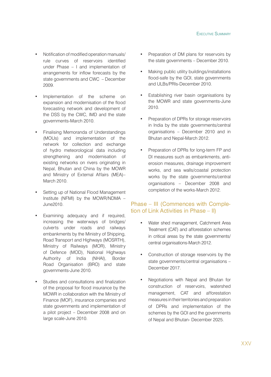- Notification of modified operation manuals/ rule curves of reservoirs identified under Phase – I and implementation of arrangements for inflow forecasts by the state governments and CWC – December 2009.
- Implementation of the scheme on expansion and modernisation of the flood forecasting network and development of the DSS by the CWC, IMD and the state governments-March 2010.
- Finalising Memoranda of Understandings (MOUs) and implementation of the network for collection and exchange of hydro meteorological data including strengthening and modernisation of existing networks on rivers originating in Nepal, Bhutan and China by the MOWR and Ministry of External Affairs (MEA)– March 2010.
- Setting up of National Flood Management Institute (NFMI) by the MOWR/NDMA – June2010.
- Examining adequacy and if required, increasing the waterways of bridges/ culverts under roads and railways embankments by the Ministry of Shipping, Road Transport and Highways (MOSRTH), Ministry of Railways (MOR), Ministry of Defence (MOD), National Highways Authority of India (NHAI), Border Road Organisation (BRO) and state governments-June 2010.
- Studies and consultations and finalization of the proposal for flood insurance by the MOWR in collaboration with the Ministry of Finance (MOF), insurance companies and state governments and implementation of a pilot project – December 2008 and on large scale-June 2010.
- Preparation of DM plans for reservoirs by the state governments – December 2010.
- Making public utility buildings/installations flood-safe by the GOI, state governments and ULBs/PRIs-December 2010.
- Establishing river basin organisations by the MOWR and state governments-June 2010.
- Preparation of DPRs for storage reservoirs in India by the state governments/central organisations – December 2010 and in Bhutan and Nepal-March 2012.
- Preparation of DPRs for long-term FP and DI measures such as embankments, antierosion measures, drainage improvement works, and sea walls/coastal protection works by the state governments/central organisations – December 2008 and completion of the works-March 2012.

#### Phase – III (Commences with Completion of Link Activities in Phase – II)

- Water shed management, Catchment Area Treatment (CAT) and afforestation schemes in critical areas by the state governments/ central organisations-March 2012.
- Construction of storage reservoirs by the state governments/central organisations – December 2017.
- Negotiations with Nepal and Bhutan for construction of reservoirs, watershed management, CAT and afforestation measures in their territories and preparation of DPRs and implementation of the schemes by the GOI and the governments of Nepal and Bhutan- December 2025.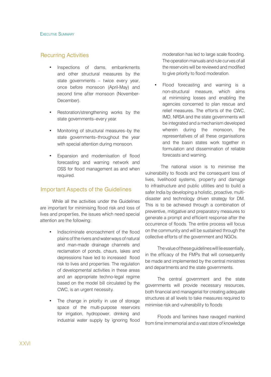#### Recurring Activities

- Inspections of dams, embankments and other structural measures by the state governments – twice every year, once before monsoon (April-May) and second time after monsoon (November-December).
- Restoration/strengthening works by the state governments–every year.
- Monitoring of structural measures–by the state governments–throughout the year with special attention during monsoon.
- Expansion and modernisation of flood forecasting and warning network and DSS for flood management as and when required.

#### Important Aspects of the Guidelines

While all the activities under the Guidelines are important for minimising flood risk and loss of lives and properties, the issues which need special attention are the following:

- Indiscriminate encroachment of the flood plains of the rivers and waterways of natural and man-made drainage channels and reclamation of ponds, chaurs, lakes and depressions have led to increased flood risk to lives and properties. The regulation of developmental activities in these areas and an appropriate techno-legal regime based on the model bill circulated by the CWC, is an urgent necessity.
- The change in priority in use of storage space of the multi-purpose reservoirs for irrigation, hydropower, drinking and industrial water supply by ignoring flood

moderation has led to large scale flooding. The operation manuals and rule curves of all the reservoirs will be reviewed and modified to give priority to flood moderation.

Flood forecasting and warning is a non-structural measure, which aims at minimising losses and enabling the agencies concerned to plan rescue and relief measures. The efforts of the CWC, IMD, NRSA and the state governments will be integrated and a mechanism developed wherein during the monsoon, the representatives of all these organisations and the basin states work together in formulation and dissemination of reliable forecasts and warning.

 The national vision is to minimise the vulnerability to floods and the consequent loss of lives, livelihood systems, property and damage to infrastructure and public utilities and to build a safer India by developing a holistic, proactive, multidisaster and technology driven strategy for DM. This is to be achieved through a combination of preventive, mitigative and preparatory measures to generate a prompt and efficient response after the occurrence of floods. The entire process will focus on the community and will be sustained through the collective efforts of the government and NGOs.

The value of these guidelines will lie essentially, in the efficacy of the FMPs that will consequently be made and implemented by the central ministries and departments and the state governments.

The central government and the state governments will provide necessary resources, both financial and managerial for creating adequate structures at all levels to take measures required to minimise risk and vulnerability to floods

Floods and famines have ravaged mankind from time immemorial and a vast store of knowledge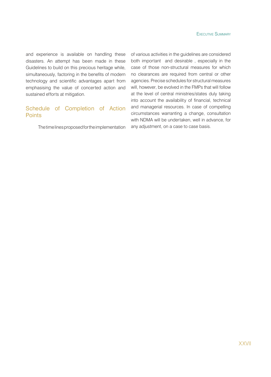and experience is available on handling these disasters. An attempt has been made in these Guidelines to build on this precious heritage while, simultaneously, factoring in the benefits of modern technology and scientific advantages apart from emphasising the value of concerted action and sustained efforts at mitigation.

#### Schedule of Completion of Action **Points**

The time lines proposed for the implementation

of various activities in the guidelines are considered both important and desirable , especially in the case of those non-structural measures for which no clearances are required from central or other agencies. Precise schedules for structural measures will, however, be evolved in the FMPs that will follow at the level of central ministries/states duly taking into account the availability of financial, technical and managerial resources. In case of compelling circumstances warranting a change, consultation with NDMA will be undertaken, well in advance, for any adjustment, on a case to case basis.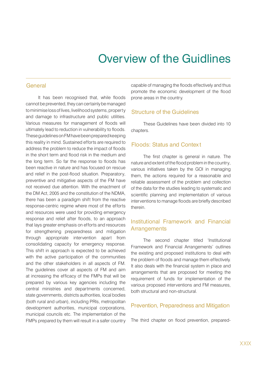### Overview of the Guidlines

#### **General**

It has been recognised that, while floods cannot be prevented, they can certainly be managed to minimise loss of lives, livelihood systems, property and damage to infrastructure and public utilities. Various measures for management of floods will ultimately lead to reduction in vulnerability to floods. These guidelines on FM have been prepared keeping this reality in mind. Sustained efforts are required to address the problem to reduce the impact of floods in the short term and flood risk in the medium and the long term. So far the response to floods has been reactive in nature and has focused on rescue and relief in the post-flood situation. Preparatory, preventive and mitigative aspects of the FM have not received due attention. With the enactment of the DM Act, 2005 and the constitution of the NDMA, there has been a paradigm shift from the reactive response-centric regime where most of the efforts and resources were used for providing emergency response and relief after floods, to an approach that lays greater emphasis on efforts and resources for strengthening preparedness and mitigation through appropriate intervention apart from consolidating capacity for emergency response. This shift in approach is expected to be achieved with the active participation of the communities and the other stakeholders in all aspects of FM. The guidelines cover all aspects of FM and aim at increasing the efficacy of the FMPs that will be prepared by various key agencies including the central ministries and departments concerned, state governments, districts authorities, local bodies (both rural and urban), including PRIs, metropolitan development authorities, municipal corporations, municipal councils etc. The implementation of the FMPs prepared by them will result in a safer country

capable of managing the floods effectively and thus promote the economic development of the flood prone areas in the country.

#### Structure of the Guidelines

These Guidelines have been divided into 10 chapters.

#### Floods: Status and Context

The first chapter is general in nature. The nature and extent of the flood problem in the country, various initiatives taken by the GOI in managing them, the actions required for a reasonable and reliable assessment of the problem and collection of the data for the studies leading to systematic and scientific planning and implementation of various interventions to manage floods are briefly described therein.

#### Institutional Framework and Financial **Arrangements**

The second chapter titled 'Institutional Framework and Financial Arrangements' outlines the existing and proposed institutions to deal with the problem of floods and manage them effectively. It also deals with the financial system in place and arrangements that are proposed for meeting the requirement of funds for implementation of the various proposed interventions and FM measures, both structural and non-structural.

#### Prevention, Preparedness and Mitigation

The third chapter on flood prevention, prepared-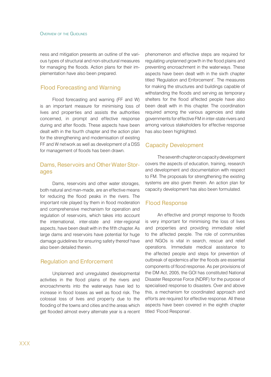ness and mitigation presents an outline of the various types of structural and non-structural measures for managing the floods. Action plans for their implementation have also been prepared.

#### Flood Forecasting and Warning

Flood forecasting and warning (FF and W) is an important measure for minimising loss of lives and properties and assists the authorities concerned, in prompt and effective response during and after floods. These aspects have been dealt with in the fourth chapter and the action plan for the strengthening and modernisation of existing FF and W network as well as development of a DSS for management of floods has been drawn.

#### Dams, Reservoirs and Other Water Storages

Dams, reservoirs and other water storages, both natural and man-made, are an effective means for reducing the flood peaks in the rivers. The important role played by them in flood moderation and comprehensive mechanism for operation and regulation of reservoirs, which takes into account the international, inter-state and inter-regional aspects, have been dealt with in the fifth chapter. As large dams and reservoirs have potential for huge damage guidelines for ensuring safety thereof have also been detailed therein.

#### Regulation and Enforcement

Unplanned and unregulated developmental activities in the flood plains of the rivers and encroachments into the waterways have led to increase in flood losses as well as flood risk. The colossal loss of lives and property due to the flooding of the towns and cities and the areas which get flooded almost every alternate year is a recent phenomenon and effective steps are required for regulating unplanned growth in the flood plains and preventing encroachment in the waterways. These aspects have been dealt with in the sixth chapter titled 'Regulation and Enforcement'. The measures for making the structures and buildings capable of withstanding the floods and serving as temporary shelters for the flood affected people have also been dealt with in this chapter. The coordination required among the various agencies and state governments for effective FM in inter-state rivers and among various stakeholders for effective response has also been highlighted.

#### Capacity Development

The seventh chapter on capacity development covers the aspects of education, training, research and development and documentation with respect to FM. The proposals for strengthening the existing systems are also given therein. An action plan for capacity development has also been formulated.

#### Flood Response

An effective and prompt response to floods is very important for minimising the loss of lives and properties and providing immediate relief to the affected people. The role of communities and NGOs is vital in search, rescue and relief operations. Immediate medical assistance to the affected people and steps for prevention of outbreak of epidemics after the floods are essential components of flood response. As per provisions of the DM Act, 2005, the GOI has constituted National Disaster Response Force (NDRF) for the purpose of specialised response to disasters. Over and above this, a mechanism for coordinated approach and efforts are required for effective response. All these aspects have been covered in the eighth chapter titled 'Flood Response'.